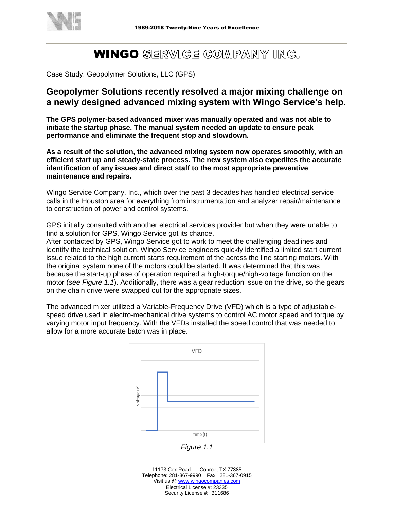

## **WINGO** SERWIGE GOMPANY ING.

Case Study: Geopolymer Solutions, LLC (GPS)

## **Geopolymer Solutions recently resolved a major mixing challenge on a newly designed advanced mixing system with Wingo Service's help.**

**The GPS polymer-based advanced mixer was manually operated and was not able to initiate the startup phase. The manual system needed an update to ensure peak performance and eliminate the frequent stop and slowdown.**

**As a result of the solution, the advanced mixing system now operates smoothly, with an efficient start up and steady-state process. The new system also expedites the accurate identification of any issues and direct staff to the most appropriate preventive maintenance and repairs.**

Wingo Service Company, Inc., which over the past 3 decades has handled electrical service calls in the Houston area for everything from instrumentation and analyzer repair/maintenance to construction of power and control systems.

GPS initially consulted with another electrical services provider but when they were unable to find a solution for GPS, Wingo Service got its chance.

After contacted by GPS, Wingo Service got to work to meet the challenging deadlines and identify the technical solution. Wingo Service engineers quickly identified a limited start current issue related to the high current starts requirement of the across the line starting motors. With the original system none of the motors could be started. It was determined that this was because the start-up phase of operation required a high-torque/high-voltage function on the motor (*see Figure 1.1*). Additionally, there was a gear reduction issue on the drive, so the gears on the chain drive were swapped out for the appropriate sizes.

The advanced mixer utilized a Variable-Frequency Drive (VFD) which is a type of adjustablespeed drive used in electro-mechanical drive systems to control AC motor speed and torque by varying motor input frequency. With the VFDs installed the speed control that was needed to allow for a more accurate batch was in place.



*Figure 1.1*

11173 Cox Road - Conroe, TX 77385 Telephone: 281-367-9990 Fax: 281-367-0915 Visit us @ [www.wingocompanies.com](http://www.wingocompanies.com/) Electrical License #: 23335 Security License #: B11686